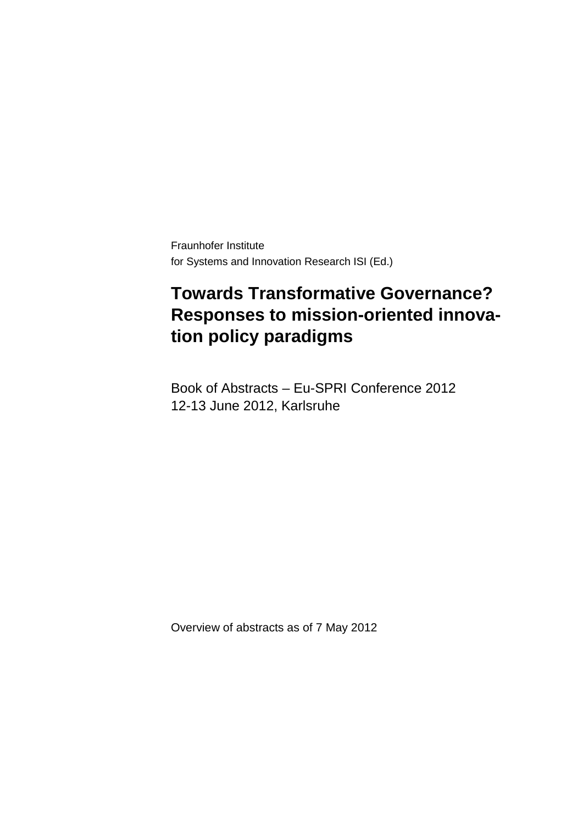Fraunhofer Institute for Systems and Innovation Research ISI (Ed.)

## **Towards Transformative Governance? Responses to mission-oriented innovation policy paradigms**

Book of Abstracts – Eu-SPRI Conference 2012 12-13 June 2012, Karlsruhe

Overview of abstracts as of 7 May 2012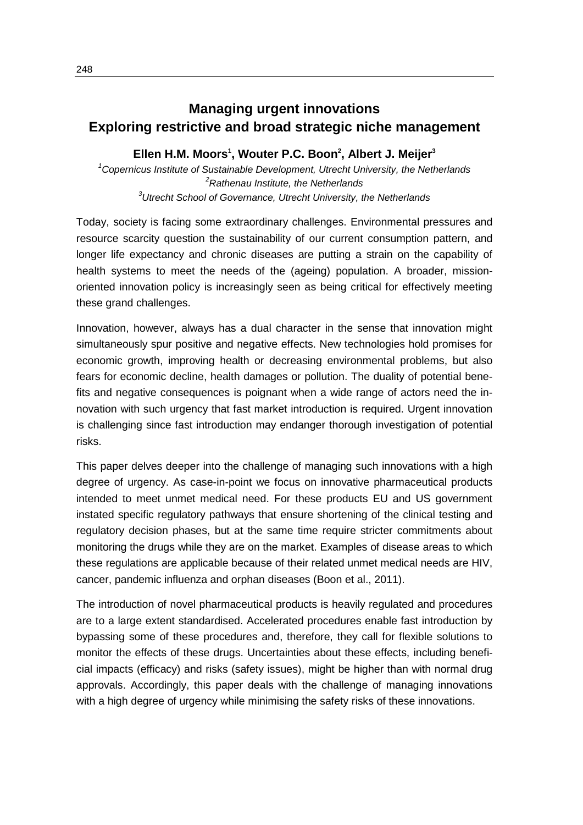## **Managing urgent innovations Exploring restrictive and broad strategic niche management**

## **Ellen H.M. Moors1 , Wouter P.C. Boon2 , Albert J. Meijer3**

*1 Copernicus Institute of Sustainable Development, Utrecht University, the Netherlands* <sup>2</sup> Rathenau Institute, the Netherlands *Rathenau Institute, the Netherlands 3 Utrecht School of Governance, Utrecht University, the Netherlands*

Today, society is facing some extraordinary challenges. Environmental pressures and resource scarcity question the sustainability of our current consumption pattern, and longer life expectancy and chronic diseases are putting a strain on the capability of health systems to meet the needs of the (ageing) population. A broader, missionoriented innovation policy is increasingly seen as being critical for effectively meeting these grand challenges.

Innovation, however, always has a dual character in the sense that innovation might simultaneously spur positive and negative effects. New technologies hold promises for economic growth, improving health or decreasing environmental problems, but also fears for economic decline, health damages or pollution. The duality of potential benefits and negative consequences is poignant when a wide range of actors need the innovation with such urgency that fast market introduction is required. Urgent innovation is challenging since fast introduction may endanger thorough investigation of potential risks.

This paper delves deeper into the challenge of managing such innovations with a high degree of urgency. As case-in-point we focus on innovative pharmaceutical products intended to meet unmet medical need. For these products EU and US government instated specific regulatory pathways that ensure shortening of the clinical testing and regulatory decision phases, but at the same time require stricter commitments about monitoring the drugs while they are on the market. Examples of disease areas to which these regulations are applicable because of their related unmet medical needs are HIV, cancer, pandemic influenza and orphan diseases (Boon et al., 2011).

The introduction of novel pharmaceutical products is heavily regulated and procedures are to a large extent standardised. Accelerated procedures enable fast introduction by bypassing some of these procedures and, therefore, they call for flexible solutions to monitor the effects of these drugs. Uncertainties about these effects, including beneficial impacts (efficacy) and risks (safety issues), might be higher than with normal drug approvals. Accordingly, this paper deals with the challenge of managing innovations with a high degree of urgency while minimising the safety risks of these innovations.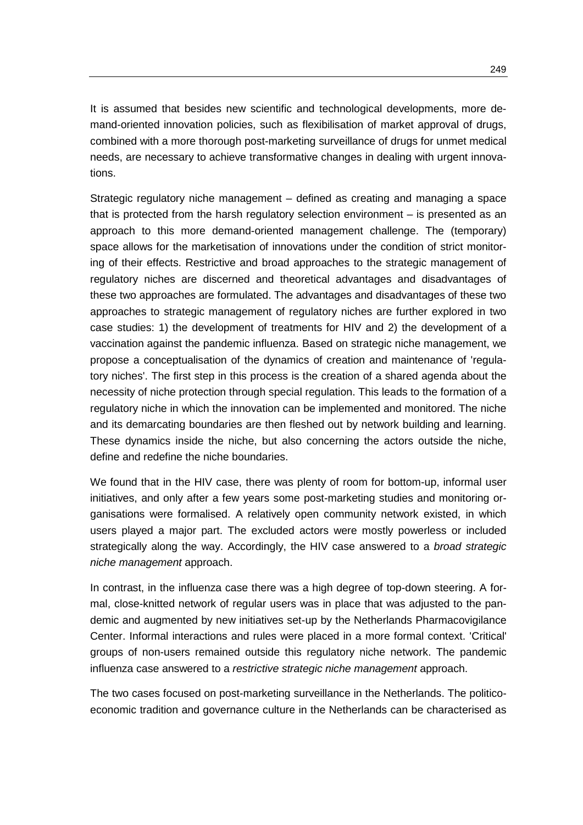It is assumed that besides new scientific and technological developments, more demand-oriented innovation policies, such as flexibilisation of market approval of drugs, combined with a more thorough post-marketing surveillance of drugs for unmet medical needs, are necessary to achieve transformative changes in dealing with urgent innovations.

Strategic regulatory niche management – defined as creating and managing a space that is protected from the harsh regulatory selection environment – is presented as an approach to this more demand-oriented management challenge. The (temporary) space allows for the marketisation of innovations under the condition of strict monitoring of their effects. Restrictive and broad approaches to the strategic management of regulatory niches are discerned and theoretical advantages and disadvantages of these two approaches are formulated. The advantages and disadvantages of these two approaches to strategic management of regulatory niches are further explored in two case studies: 1) the development of treatments for HIV and 2) the development of a vaccination against the pandemic influenza. Based on strategic niche management, we propose a conceptualisation of the dynamics of creation and maintenance of 'regulatory niches'. The first step in this process is the creation of a shared agenda about the necessity of niche protection through special regulation. This leads to the formation of a regulatory niche in which the innovation can be implemented and monitored. The niche and its demarcating boundaries are then fleshed out by network building and learning. These dynamics inside the niche, but also concerning the actors outside the niche, define and redefine the niche boundaries.

We found that in the HIV case, there was plenty of room for bottom-up, informal user initiatives, and only after a few years some post-marketing studies and monitoring organisations were formalised. A relatively open community network existed, in which users played a major part. The excluded actors were mostly powerless or included strategically along the way. Accordingly, the HIV case answered to a *broad strategic niche management* approach.

In contrast, in the influenza case there was a high degree of top-down steering. A formal, close-knitted network of regular users was in place that was adjusted to the pandemic and augmented by new initiatives set-up by the Netherlands Pharmacovigilance Center. Informal interactions and rules were placed in a more formal context. 'Critical' groups of non-users remained outside this regulatory niche network. The pandemic influenza case answered to a *restrictive strategic niche management* approach.

The two cases focused on post-marketing surveillance in the Netherlands. The politicoeconomic tradition and governance culture in the Netherlands can be characterised as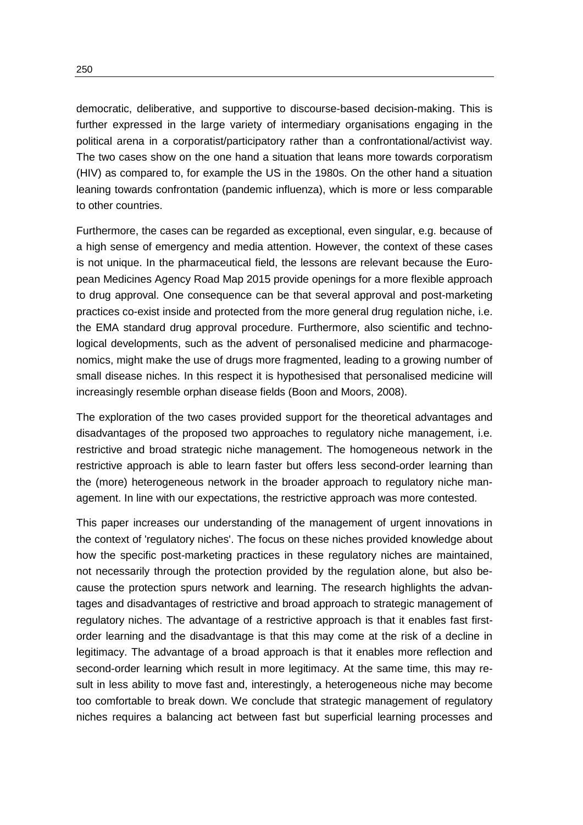democratic, deliberative, and supportive to discourse-based decision-making. This is further expressed in the large variety of intermediary organisations engaging in the political arena in a corporatist/participatory rather than a confrontational/activist way. The two cases show on the one hand a situation that leans more towards corporatism (HIV) as compared to, for example the US in the 1980s. On the other hand a situation leaning towards confrontation (pandemic influenza), which is more or less comparable to other countries.

Furthermore, the cases can be regarded as exceptional, even singular, e.g. because of a high sense of emergency and media attention. However, the context of these cases is not unique. In the pharmaceutical field, the lessons are relevant because the European Medicines Agency Road Map 2015 provide openings for a more flexible approach to drug approval. One consequence can be that several approval and post-marketing practices co-exist inside and protected from the more general drug regulation niche, i.e. the EMA standard drug approval procedure. Furthermore, also scientific and technological developments, such as the advent of personalised medicine and pharmacogenomics, might make the use of drugs more fragmented, leading to a growing number of small disease niches. In this respect it is hypothesised that personalised medicine will increasingly resemble orphan disease fields (Boon and Moors, 2008).

The exploration of the two cases provided support for the theoretical advantages and disadvantages of the proposed two approaches to regulatory niche management, i.e. restrictive and broad strategic niche management. The homogeneous network in the restrictive approach is able to learn faster but offers less second-order learning than the (more) heterogeneous network in the broader approach to regulatory niche management. In line with our expectations, the restrictive approach was more contested.

This paper increases our understanding of the management of urgent innovations in the context of 'regulatory niches'. The focus on these niches provided knowledge about how the specific post-marketing practices in these regulatory niches are maintained, not necessarily through the protection provided by the regulation alone, but also because the protection spurs network and learning. The research highlights the advantages and disadvantages of restrictive and broad approach to strategic management of regulatory niches. The advantage of a restrictive approach is that it enables fast firstorder learning and the disadvantage is that this may come at the risk of a decline in legitimacy. The advantage of a broad approach is that it enables more reflection and second-order learning which result in more legitimacy. At the same time, this may result in less ability to move fast and, interestingly, a heterogeneous niche may become too comfortable to break down. We conclude that strategic management of regulatory niches requires a balancing act between fast but superficial learning processes and